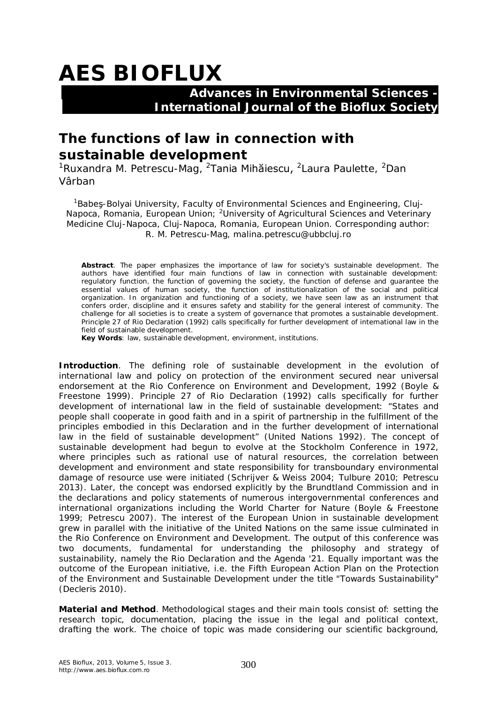## **AES BIOFLUX**

## **Advances in Environmental Sciences - International Journal of the Bioflux Society**

## **The functions of law in connection with sustainable development**

<sup>1</sup>Ruxandra M. Petrescu-Mag, <sup>2</sup>Tania Mihăiescu, <sup>2</sup>Laura Paulette, <sup>2</sup>Dan Vârban

<sup>1</sup>Babes-Bolyai University, Faculty of Environmental Sciences and Engineering, Clui-Napoca, Romania, European Union; <sup>2</sup>University of Agricultural Sciences and Veterinary Medicine Cluj-Napoca, Cluj-Napoca, Romania, European Union. Corresponding author: R. M. Petrescu-Mag, malina.petrescu@ubbcluj.ro

**Abstract**. The paper emphasizes the importance of law for society's sustainable development. The authors have identified four main functions of law in connection with sustainable development: regulatory function, the function of governing the society, the function of defense and guarantee the essential values of human society, the function of institutionalization of the social and political organization. In organization and functioning of a society, we have seen law as an instrument that confers order, discipline and it ensures safety and stability for the general interest of community. The challenge for all societies is to create a system of governance that promotes a sustainable development. Principle 27 of Rio Declaration (1992) calls specifically for further development of international law in the field of sustainable development.

**Key Words**: law, sustainable development, environment, institutions.

**Introduction**. The defining role of sustainable development in the evolution of international law and policy on protection of the environment secured near universal endorsement at the Rio Conference on Environment and Development, 1992 (Boyle & Freestone 1999). Principle 27 of Rio Declaration (1992) calls specifically for further development of international law in the field of sustainable development: "States and people shall cooperate in good faith and in a spirit of partnership in the fulfillment of the principles embodied in this Declaration and in the further development of international law in the field of sustainable development" (United Nations 1992). The concept of sustainable development had begun to evolve at the Stockholm Conference in 1972, where principles such as rational use of natural resources, the correlation between development and environment and state responsibility for transboundary environmental damage of resource use were initiated (Schrijver & Weiss 2004; Tulbure 2010; Petrescu 2013). Later, the concept was endorsed explicitly by the Brundtland Commission and in the declarations and policy statements of numerous intergovernmental conferences and international organizations including the World Charter for Nature (Boyle & Freestone 1999; Petrescu 2007). The interest of the European Union in sustainable development grew in parallel with the initiative of the United Nations on the same issue culminated in the Rio Conference on Environment and Development. The output of this conference was two documents, fundamental for understanding the philosophy and strategy of sustainability, namely the Rio Declaration and the Agenda '21. Equally important was the outcome of the European initiative, i.e. the Fifth European Action Plan on the Protection of the Environment and Sustainable Development under the title "Towards Sustainability" (Decleris 2010).

**Material and Method**. Methodological stages and their main tools consist of: setting the research topic, documentation, placing the issue in the legal and political context, drafting the work. The choice of topic was made considering our scientific background,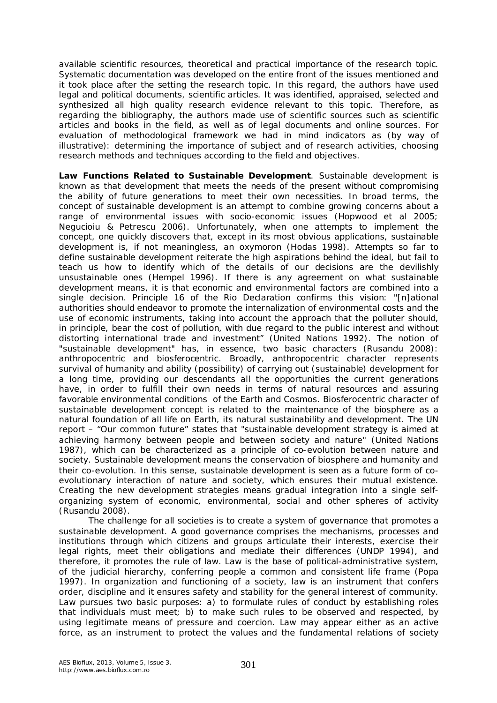available scientific resources, theoretical and practical importance of the research topic. Systematic documentation was developed on the entire front of the issues mentioned and it took place after the setting the research topic. In this regard, the authors have used legal and political documents, scientific articles. It was identified, appraised, selected and synthesized all high quality research evidence relevant to this topic. Therefore, as regarding the bibliography, the authors made use of scientific sources such as scientific articles and books in the field, as well as of legal documents and online sources. For evaluation of methodological framework we had in mind indicators as (by way of illustrative): determining the importance of subject and of research activities, choosing research methods and techniques according to the field and objectives.

**Law Functions Related to Sustainable Development**. Sustainable development is known as that development that meets the needs of the present without compromising the ability of future generations to meet their own necessities. In broad terms, the concept of sustainable development is an attempt to combine growing concerns about a range of environmental issues with socio-economic issues (Hopwood et al 2005; Negucioiu & Petrescu 2006). Unfortunately, when one attempts to implement the concept, one quickly discovers that, except in its most obvious applications, sustainable development is, if not meaningless, an oxymoron (Hodas 1998). Attempts so far to define sustainable development reiterate the high aspirations behind the ideal, but fail to teach us how to identify which of the details of our decisions are the devilishly unsustainable ones (Hempel 1996). If there is any agreement on what sustainable development means, it is that economic and environmental factors are combined into a single decision. Principle 16 of the Rio Declaration confirms this vision: "[n]ational authorities should endeavor to promote the internalization of environmental costs and the use of economic instruments, taking into account the approach that the polluter should, in principle, bear the cost of pollution, with due regard to the public interest and without distorting international trade and investment" (United Nations 1992). The notion of "sustainable development" has, in essence, two basic characters (Rusandu 2008): anthropocentric and biosferocentric. Broadly, anthropocentric character represents survival of humanity and ability (possibility) of carrying out (sustainable) development for a long time, providing our descendants all the opportunities the current generations have, in order to fulfill their own needs in terms of natural resources and assuring favorable environmental conditions of the Earth and Cosmos. Biosferocentric character of sustainable development concept is related to the maintenance of the biosphere as a natural foundation of all life on Earth, its natural sustainability and development. The UN report – "Our common future" states that "sustainable development strategy is aimed at achieving harmony between people and between society and nature" (United Nations 1987), which can be characterized as a principle of co-evolution between nature and society. Sustainable development means the conservation of biosphere and humanity and their co-evolution. In this sense, sustainable development is seen as a future form of coevolutionary interaction of nature and society, which ensures their mutual existence. Creating the new development strategies means gradual integration into a single selforganizing system of economic, environmental, social and other spheres of activity (Rusandu 2008).

The challenge for all societies is to create a system of governance that promotes a sustainable development. A good governance comprises the mechanisms, processes and institutions through which citizens and groups articulate their interests, exercise their legal rights, meet their obligations and mediate their differences (UNDP 1994), and therefore, it promotes the rule of law. Law is the base of political-administrative system, of the judicial hierarchy, conferring people a common and consistent life frame (Popa 1997). In organization and functioning of a society, law is an instrument that confers order, discipline and it ensures safety and stability for the general interest of community. Law pursues two basic purposes: a) to formulate rules of conduct by establishing roles that individuals must meet; b) to make such rules to be observed and respected, by using legitimate means of pressure and coercion. Law may appear either as an active force, as an instrument to protect the values and the fundamental relations of society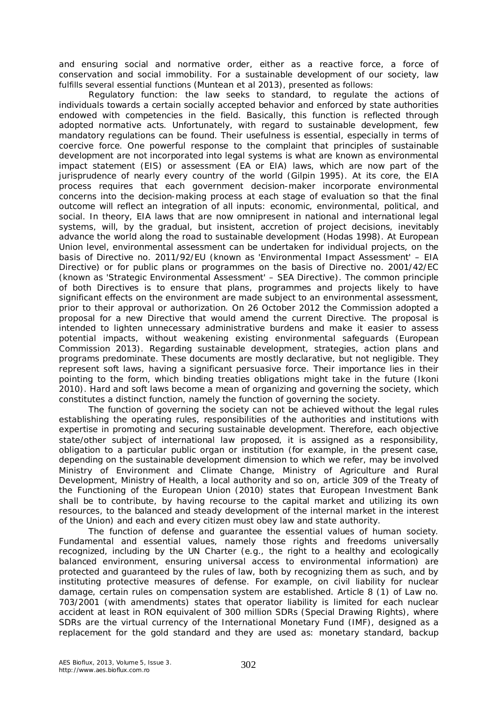and ensuring social and normative order, either as a reactive force, a force of conservation and social immobility. For a sustainable development of our society, law fulfills several essential functions (Muntean et al 2013), presented as follows:

*Regulatory function:* the law seeks to standard, to regulate the actions of individuals towards a certain socially accepted behavior and enforced by state authorities endowed with competencies in the field. Basically, this function is reflected through adopted normative acts. Unfortunately, with regard to sustainable development, few mandatory regulations can be found. Their usefulness is essential, especially in terms of coercive force. One powerful response to the complaint that principles of sustainable development are not incorporated into legal systems is what are known as environmental impact statement (EIS) or assessment (EA or EIA) laws, which are now part of the jurisprudence of nearly every country of the world (Gilpin 1995). At its core, the EIA process requires that each government decision-maker incorporate environmental concerns into the decision-making process at each stage of evaluation so that the final outcome will reflect an integration of all inputs: economic, environmental, political, and social. In theory, EIA laws that are now omnipresent in national and international legal systems, will, by the gradual, but insistent, accretion of project decisions, inevitably advance the world along the road to sustainable development (Hodas 1998). At European Union level, environmental assessment can be undertaken for individual projects, on the basis of Directive no. 2011/92/EU (known as 'Environmental Impact Assessment' – EIA Directive) or for public plans or programmes on the basis of Directive no. 2001/42/EC (known as 'Strategic Environmental Assessment' – SEA Directive). The common principle of both Directives is to ensure that plans, programmes and projects likely to have significant effects on the environment are made subject to an environmental assessment, prior to their approval or authorization. On 26 October 2012 the Commission adopted a proposal for a new Directive that would amend the current Directive. The proposal is intended to lighten unnecessary administrative burdens and make it easier to assess potential impacts, without weakening existing environmental safeguards (European Commission 2013). Regarding sustainable development, strategies, action plans and programs predominate. These documents are mostly declarative, but not negligible. They represent soft laws, having a significant persuasive force. Their importance lies in their pointing to the form, which binding treaties obligations might take in the future (Ikoni 2010). Hard and soft laws become a mean of organizing and governing the society, which constitutes a distinct function, namely the function of governing the society.

*The function of governing the society* can not be achieved without the legal rules establishing the operating rules, responsibilities of the authorities and institutions with expertise in promoting and securing sustainable development. Therefore, each objective state/other subject of international law proposed, it is assigned as a responsibility, obligation to a particular public organ or institution (for example, in the present case, depending on the sustainable development dimension to which we refer, may be involved Ministry of Environment and Climate Change, Ministry of Agriculture and Rural Development, Ministry of Health, a local authority and so on, article 309 of the Treaty of the Functioning of the European Union (2010) states that European Investment Bank shall be to contribute, by having recourse to the capital market and utilizing its own resources, to the balanced and steady development of the internal market in the interest of the Union) and each and every citizen must obey law and state authority.

*The function of defense and guarantee the essential values of human society.* Fundamental and essential values, namely those rights and freedoms universally recognized, including by the UN Charter (e.g., the right to a healthy and ecologically balanced environment, ensuring universal access to environmental information) are protected and guaranteed by the rules of law, both by recognizing them as such, and by instituting protective measures of defense. For example, on civil liability for nuclear damage, certain rules on compensation system are established. Article 8 (1) of Law no. 703/2001 (with amendments) states that operator liability is limited for each nuclear accident at least in RON equivalent of 300 million SDRs (Special Drawing Rights), where SDRs are the virtual currency of the International Monetary Fund (IMF), designed as a replacement for the gold standard and they are used as: monetary standard, backup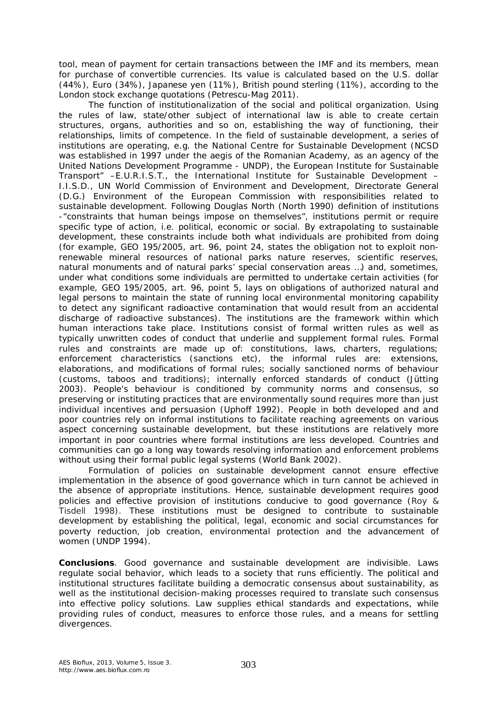tool, mean of payment for certain transactions between the IMF and its members, mean for purchase of convertible currencies. Its value is calculated based on the U.S. dollar (44%), Euro (34%), Japanese yen (11%), British pound sterling (11%), according to the London stock exchange quotations (Petrescu-Mag 2011).

*The function of institutionalization of the social and political organization.* Using the rules of law, state/other subject of international law is able to create certain structures, organs, authorities and so on, establishing the way of functioning, their relationships, limits of competence. In the field of sustainable development, a series of institutions are operating, e.g. the National Centre for Sustainable Development (NCSD was established in 1997 under the aegis of the Romanian Academy, as an agency of the United Nations Development Programme - UNDP), the European Institute for Sustainable Transport" –E.U.R.I.S.T., the International Institute for Sustainable Development – I.I.S.D., UN World Commission of Environment and Development, Directorate General (D.G.) Environment of the European Commission with responsibilities related to sustainable development. Following Douglas North (North 1990) definition of institutions -"constraints that human beings impose on themselves", institutions permit or require specific type of action, i.e. political, economic or social. By extrapolating to sustainable development, these constraints include both what individuals are prohibited from doing (for example, GEO 195/2005, art. 96, point 24, states the obligation not to exploit nonrenewable mineral resources of national parks nature reserves, scientific reserves, natural monuments and of natural parks' special conservation areas …) and, sometimes, under what conditions some individuals are permitted to undertake certain activities (for example, GEO 195/2005, art. 96, point 5, lays on obligations of authorized natural and legal persons to maintain the state of running local environmental monitoring capability to detect any significant radioactive contamination that would result from an accidental discharge of radioactive substances). The institutions are the framework within which human interactions take place. Institutions consist of formal written rules as well as typically unwritten codes of conduct that underlie and supplement formal rules. Formal rules and constraints are made up of: constitutions, laws, charters, regulations; enforcement characteristics (sanctions etc), the informal rules are: extensions, elaborations, and modifications of formal rules; socially sanctioned norms of behaviour (customs, taboos and traditions); internally enforced standards of conduct (Jütting 2003). People's behaviour is conditioned by community norms and consensus, so preserving or instituting practices that are environmentally sound requires more than just individual incentives and persuasion (Uphoff 1992). People in both developed and and poor countries rely on informal institutions to facilitate reaching agreements on various aspect concerning sustainable development, but these institutions are relatively more important in poor countries where formal institutions are less developed. Countries and communities can go a long way towards resolving information and enforcement problems without using their formal public legal systems (World Bank 2002).

Formulation of policies on sustainable development cannot ensure effective implementation in the absence of good governance which in turn cannot be achieved in the absence of appropriate institutions. Hence, sustainable development requires good policies and effective provision of institutions conducive to good governance (Roy & Tisdell 1998). These institutions must be designed to contribute to sustainable development by establishing the political, legal, economic and social circumstances for poverty reduction, job creation, environmental protection and the advancement of women (UNDP 1994).

**Conclusions**. Good governance and sustainable development are indivisible. Laws regulate social behavior, which leads to a society that runs efficiently. The political and institutional structures facilitate building a democratic consensus about sustainability, as well as the institutional decision-making processes required to translate such consensus into effective policy solutions. Law supplies ethical standards and expectations, while providing rules of conduct, measures to enforce those rules, and a means for settling divergences.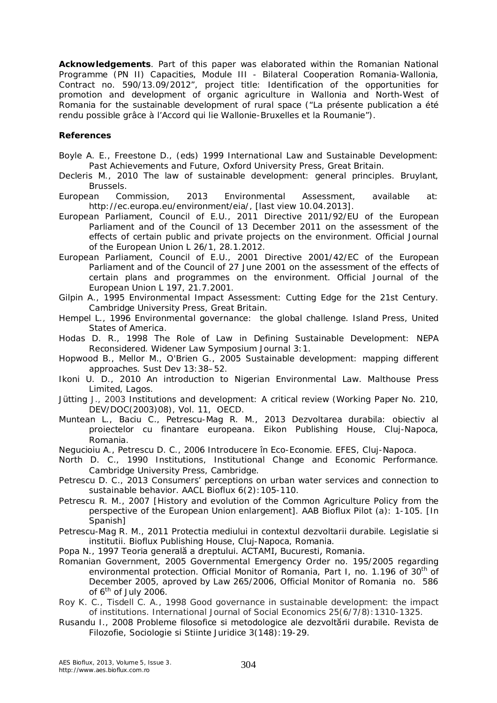**Acknowledgements**. Part of this paper was elaborated within the Romanian National Programme (PN II) Capacities, Module III - Bilateral Cooperation Romania-Wallonia, Contract no. 590/13.09/2012", project title: Identification of the opportunities for promotion and development of organic agriculture in Wallonia and North-West of Romania for the sustainable development of rural space ("La présente publication a été rendu possible grâce à l'Accord qui lie Wallonie-Bruxelles et la Roumanie").

## **References**

- Boyle A. E., Freestone D., (eds) 1999 International Law and Sustainable Development: Past Achievements and Future, Oxford University Press, Great Britain.
- Decleris M., 2010 The law of sustainable development: general principles. Bruylant, Brussels.
- European Commission, 2013 Environmental Assessment, available at: http://ec.europa.eu/environment/eia/, [last view 10.04.2013].
- European Parliament, Council of E.U., 2011 Directive 2011/92/EU of the European Parliament and of the Council of 13 December 2011 on the assessment of the effects of certain public and private projects on the environment. Official Journal of the European Union L 26/1, 28.1.2012.
- European Parliament, Council of E.U., 2001 Directive 2001/42/EC of the European Parliament and of the Council of 27 June 2001 on the assessment of the effects of certain plans and programmes on the environment. Official Journal of the European Union L 197, 21.7.2001.
- Gilpin A., 1995 Environmental Impact Assessment: Cutting Edge for the 21st Century. Cambridge University Press, Great Britain.
- Hempel L., 1996 Environmental governance:the global challenge. Island Press, United States of America.
- Hodas D. R., 1998 The Role of Law in Defining Sustainable Development: NEPA Reconsidered. Widener Law Symposium Journal 3:1.
- Hopwood B., Mellor M., O'Brien G., 2005 Sustainable development: mapping different approaches. Sust Dev 13:38–52.
- Ikoni U. D., 2010 An introduction to Nigerian Environmental Law. Malthouse Press Limited, Lagos.
- Jütting J., 2003 Institutions and development: A critical review (Working Paper No. 210, DEV/DOC(2003)08), Vol. 11, OECD.
- Muntean L., Baciu C., Petrescu-Mag R. M., 2013 Dezvoltarea durabila: obiectiv al proiectelor cu finantare europeana. Eikon Publishing House, Cluj-Napoca, Romania.
- Negucioiu A., Petrescu D. C., 2006 Introducere în Eco-Economie. EFES, Cluj-Napoca.
- North D. C., 1990 Institutions, Institutional Change and Economic Performance. Cambridge University Press, Cambridge.
- Petrescu D. C., 2013 Consumers' perceptions on urban water services and connection to sustainable behavior. AACL Bioflux 6(2):105-110.
- Petrescu R. M., 2007 [History and evolution of the Common Agriculture Policy from the perspective of the European Union enlargement]. AAB Bioflux Pilot (a): 1-105. [In Spanish]
- Petrescu-Mag R. M., 2011 Protectia mediului in contextul dezvoltarii durabile. Legislatie si institutii. Bioflux Publishing House, Cluj-Napoca, Romania.

Popa N., 1997 Teoria generală a dreptului. ACTAMI, Bucuresti, Romania.

- Romanian Government, 2005 Governmental Emergency Order no. 195/2005 regarding environmental protection. Official Monitor of Romania, Part I, no. 1.196 of 30<sup>th</sup> of December 2005, aproved by Law 265/2006, Official Monitor of Romania no. 586 of  $6<sup>th</sup>$  of July 2006.
- Roy K. C., Tisdell C. A., 1998 Good governance in sustainable development: the impact of institutions. International Journal of Social Economics 25(6/7/8):1310-1325.
- Rusandu I., 2008 Probleme filosofice si metodologice ale dezvoltării durabile. Revista de Filozofie, Sociologie si Stiinte Juridice 3(148):19-29.